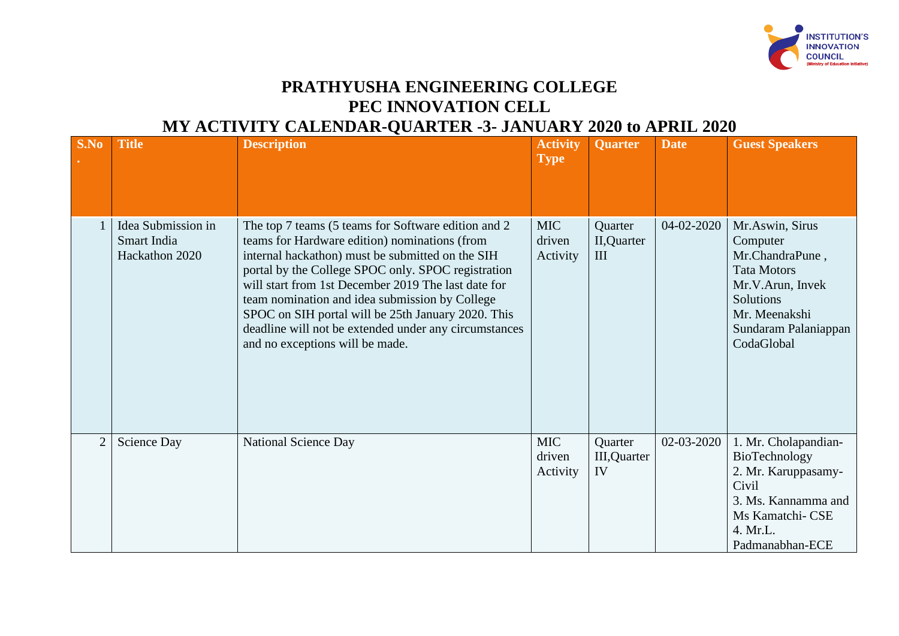

## **PRATHYUSHA ENGINEERING COLLEGE PEC INNOVATION CELL MY ACTIVITY CALENDAR-QUARTER -3- JANUARY 2020 to APRIL 2020**

|                |                                                     | MI ROILIII CHEERDHA QOHAIER 0 GHRICH                                                                                                                                                                                                                                                                                                                                                                                                                                      |                                  |                                       |             |                                                                                                                                                              |
|----------------|-----------------------------------------------------|---------------------------------------------------------------------------------------------------------------------------------------------------------------------------------------------------------------------------------------------------------------------------------------------------------------------------------------------------------------------------------------------------------------------------------------------------------------------------|----------------------------------|---------------------------------------|-------------|--------------------------------------------------------------------------------------------------------------------------------------------------------------|
| S.No           | <b>Title</b>                                        | <b>Description</b>                                                                                                                                                                                                                                                                                                                                                                                                                                                        | <b>Activity</b><br><b>Type</b>   | <b>Quarter</b>                        | <b>Date</b> | <b>Guest Speakers</b>                                                                                                                                        |
|                | Idea Submission in<br>Smart India<br>Hackathon 2020 | The top 7 teams (5 teams for Software edition and 2<br>teams for Hardware edition) nominations (from<br>internal hackathon) must be submitted on the SIH<br>portal by the College SPOC only. SPOC registration<br>will start from 1st December 2019 The last date for<br>team nomination and idea submission by College<br>SPOC on SIH portal will be 25th January 2020. This<br>deadline will not be extended under any circumstances<br>and no exceptions will be made. | <b>MIC</b><br>driven<br>Activity | Quarter<br>II, Quarter<br>III         | 04-02-2020  | Mr.Aswin, Sirus<br>Computer<br>Mr.ChandraPune,<br><b>Tata Motors</b><br>Mr.V.Arun, Invek<br>Solutions<br>Mr. Meenakshi<br>Sundaram Palaniappan<br>CodaGlobal |
| $\overline{2}$ | Science Day                                         | National Science Day                                                                                                                                                                                                                                                                                                                                                                                                                                                      | <b>MIC</b><br>driven<br>Activity | Quarter<br><b>III</b> , Quarter<br>IV | 02-03-2020  | 1. Mr. Cholapandian-<br>BioTechnology<br>2. Mr. Karuppasamy-<br>Civil<br>3. Ms. Kannamma and<br>Ms Kamatchi- CSE<br>4. Mr.L.<br>Padmanabhan-ECE              |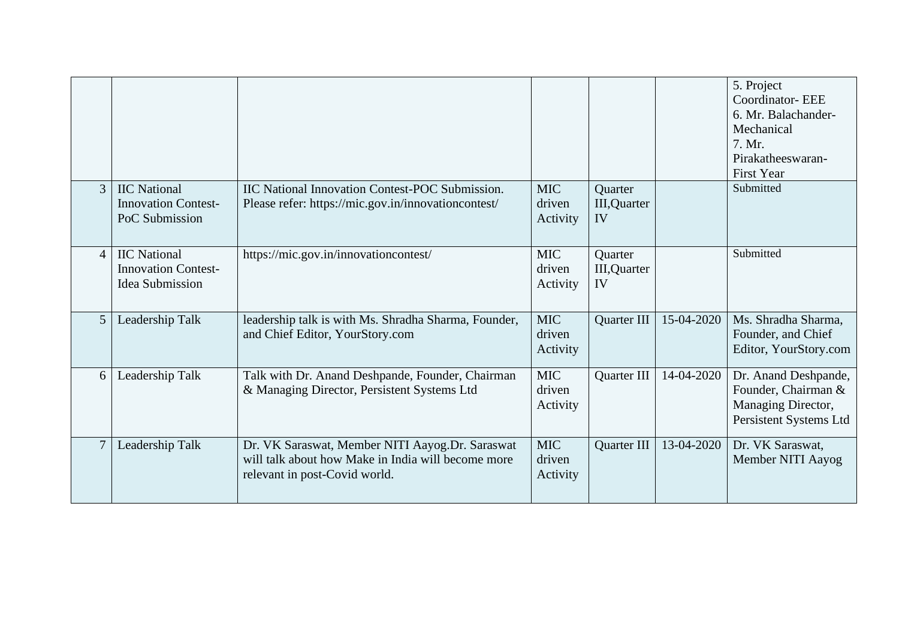|                |                                                                             |                                                                                                                                        |                                  |                               |            | 5. Project<br><b>Coordinator-EEE</b><br>6. Mr. Balachander-<br>Mechanical<br>7. Mr.<br>Pirakatheeswaran-<br><b>First Year</b> |
|----------------|-----------------------------------------------------------------------------|----------------------------------------------------------------------------------------------------------------------------------------|----------------------------------|-------------------------------|------------|-------------------------------------------------------------------------------------------------------------------------------|
| $\mathfrak{Z}$ | <b>IIC</b> National<br><b>Innovation Contest-</b><br>PoC Submission         | <b>IIC National Innovation Contest-POC Submission.</b><br>Please refer: https://mic.gov.in/innovationcontest/                          | <b>MIC</b><br>driven<br>Activity | Quarter<br>III, Quarter<br>IV |            | Submitted                                                                                                                     |
| $\overline{4}$ | <b>IIC</b> National<br><b>Innovation Contest-</b><br><b>Idea Submission</b> | https://mic.gov.in/innovationcontest/                                                                                                  | <b>MIC</b><br>driven<br>Activity | Quarter<br>III, Quarter<br>IV |            | Submitted                                                                                                                     |
| 5 <sup>5</sup> | Leadership Talk                                                             | leadership talk is with Ms. Shradha Sharma, Founder,<br>and Chief Editor, YourStory.com                                                | <b>MIC</b><br>driven<br>Activity | Quarter III                   | 15-04-2020 | Ms. Shradha Sharma,<br>Founder, and Chief<br>Editor, YourStory.com                                                            |
| 6              | Leadership Talk                                                             | Talk with Dr. Anand Deshpande, Founder, Chairman<br>& Managing Director, Persistent Systems Ltd                                        | <b>MIC</b><br>driven<br>Activity | Quarter III                   | 14-04-2020 | Dr. Anand Deshpande,<br>Founder, Chairman &<br>Managing Director,<br>Persistent Systems Ltd                                   |
| $\tau$         | Leadership Talk                                                             | Dr. VK Saraswat, Member NITI Aayog.Dr. Saraswat<br>will talk about how Make in India will become more<br>relevant in post-Covid world. | <b>MIC</b><br>driven<br>Activity | Quarter III                   | 13-04-2020 | Dr. VK Saraswat,<br>Member NITI Aayog                                                                                         |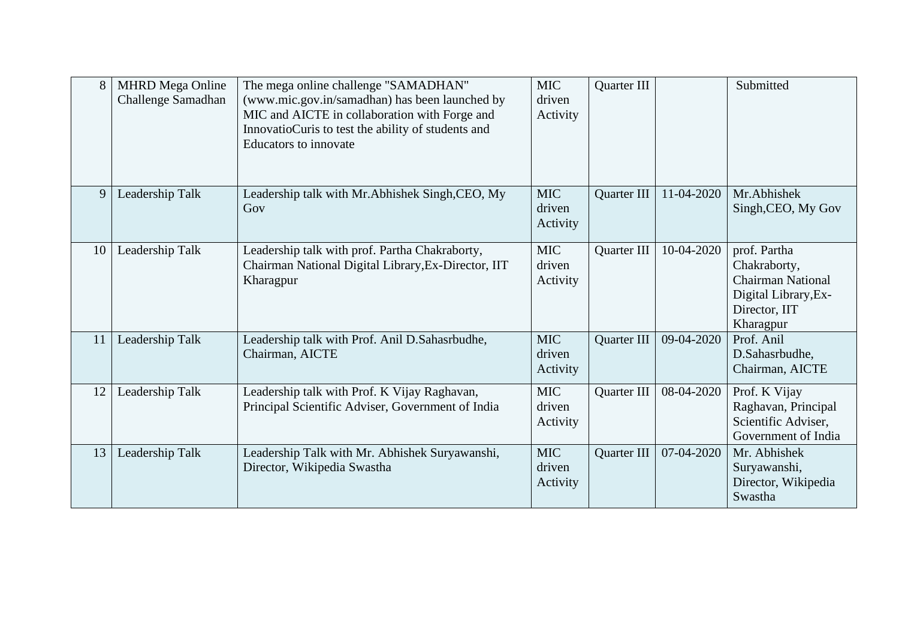| 8  | <b>MHRD</b> Mega Online<br>Challenge Samadhan | The mega online challenge "SAMADHAN"<br>(www.mic.gov.in/samadhan) has been launched by<br>MIC and AICTE in collaboration with Forge and<br>InnovatioCuris to test the ability of students and<br>Educators to innovate | <b>MIC</b><br>driven<br>Activity | Quarter III |            | Submitted                                                                                                      |
|----|-----------------------------------------------|------------------------------------------------------------------------------------------------------------------------------------------------------------------------------------------------------------------------|----------------------------------|-------------|------------|----------------------------------------------------------------------------------------------------------------|
| 9  | Leadership Talk                               | Leadership talk with Mr. Abhishek Singh, CEO, My<br>Gov                                                                                                                                                                | <b>MIC</b><br>driven<br>Activity | Quarter III | 11-04-2020 | Mr.Abhishek<br>Singh, CEO, My Gov                                                                              |
| 10 | Leadership Talk                               | Leadership talk with prof. Partha Chakraborty,<br>Chairman National Digital Library, Ex-Director, IIT<br>Kharagpur                                                                                                     | <b>MIC</b><br>driven<br>Activity | Quarter III | 10-04-2020 | prof. Partha<br>Chakraborty,<br><b>Chairman National</b><br>Digital Library, Ex-<br>Director, IIT<br>Kharagpur |
| 11 | Leadership Talk                               | Leadership talk with Prof. Anil D.Sahasrbudhe,<br>Chairman, AICTE                                                                                                                                                      | <b>MIC</b><br>driven<br>Activity | Quarter III | 09-04-2020 | Prof. Anil<br>D.Sahasrbudhe,<br>Chairman, AICTE                                                                |
| 12 | Leadership Talk                               | Leadership talk with Prof. K Vijay Raghavan,<br>Principal Scientific Adviser, Government of India                                                                                                                      | <b>MIC</b><br>driven<br>Activity | Quarter III | 08-04-2020 | Prof. K Vijay<br>Raghavan, Principal<br>Scientific Adviser,<br>Government of India                             |
| 13 | Leadership Talk                               | Leadership Talk with Mr. Abhishek Suryawanshi,<br>Director, Wikipedia Swastha                                                                                                                                          | <b>MIC</b><br>driven<br>Activity | Quarter III | 07-04-2020 | Mr. Abhishek<br>Suryawanshi,<br>Director, Wikipedia<br>Swastha                                                 |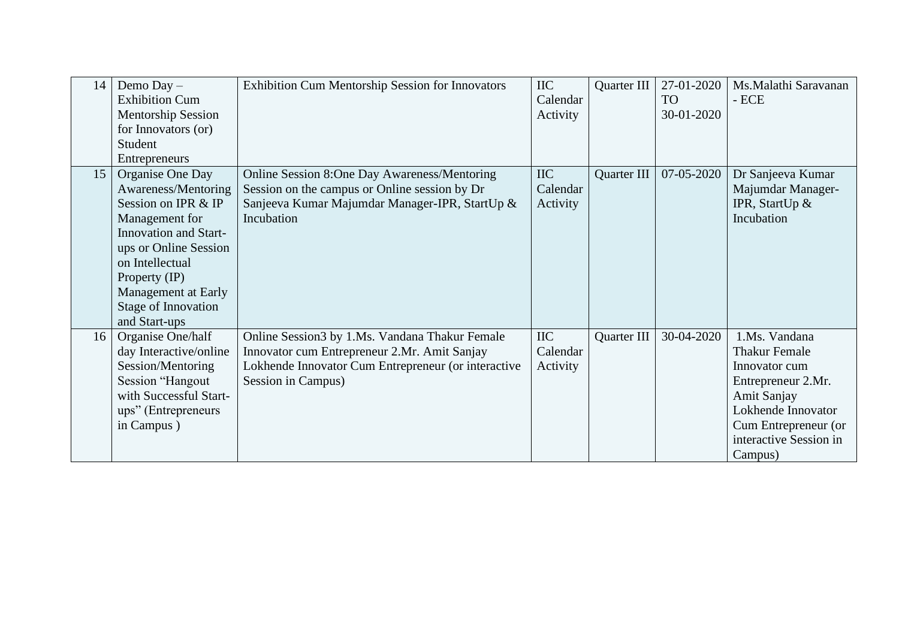| 14 | Demo Day -<br><b>Exhibition Cum</b><br><b>Mentorship Session</b><br>for Innovators (or)<br>Student<br>Entrepreneurs                                                                                                                          | <b>Exhibition Cum Mentorship Session for Innovators</b>                                                                                                                     | <b>IIC</b><br>Calendar<br>Activity | Quarter III | 27-01-2020<br><b>TO</b><br>30-01-2020 | Ms.Malathi Saravanan<br>$-$ ECE                                                                                                                                                |
|----|----------------------------------------------------------------------------------------------------------------------------------------------------------------------------------------------------------------------------------------------|-----------------------------------------------------------------------------------------------------------------------------------------------------------------------------|------------------------------------|-------------|---------------------------------------|--------------------------------------------------------------------------------------------------------------------------------------------------------------------------------|
| 15 | Organise One Day<br>Awareness/Mentoring<br>Session on IPR & IP<br>Management for<br><b>Innovation and Start-</b><br>ups or Online Session<br>on Intellectual<br>Property (IP)<br>Management at Early<br>Stage of Innovation<br>and Start-ups | Online Session 8:One Day Awareness/Mentoring<br>Session on the campus or Online session by Dr<br>Sanjeeva Kumar Majumdar Manager-IPR, StartUp &<br>Incubation               | <b>IIC</b><br>Calendar<br>Activity | Quarter III | 07-05-2020                            | Dr Sanjeeva Kumar<br>Majumdar Manager-<br>IPR, StartUp &<br>Incubation                                                                                                         |
| 16 | Organise One/half<br>day Interactive/online<br>Session/Mentoring<br>Session "Hangout<br>with Successful Start-<br>ups" (Entrepreneurs<br>in Campus)                                                                                          | Online Session3 by 1.Ms. Vandana Thakur Female<br>Innovator cum Entrepreneur 2.Mr. Amit Sanjay<br>Lokhende Innovator Cum Entrepreneur (or interactive<br>Session in Campus) | <b>IIC</b><br>Calendar<br>Activity | Quarter III | 30-04-2020                            | 1.Ms. Vandana<br><b>Thakur Female</b><br>Innovator cum<br>Entrepreneur 2.Mr.<br>Amit Sanjay<br>Lokhende Innovator<br>Cum Entrepreneur (or<br>interactive Session in<br>Campus) |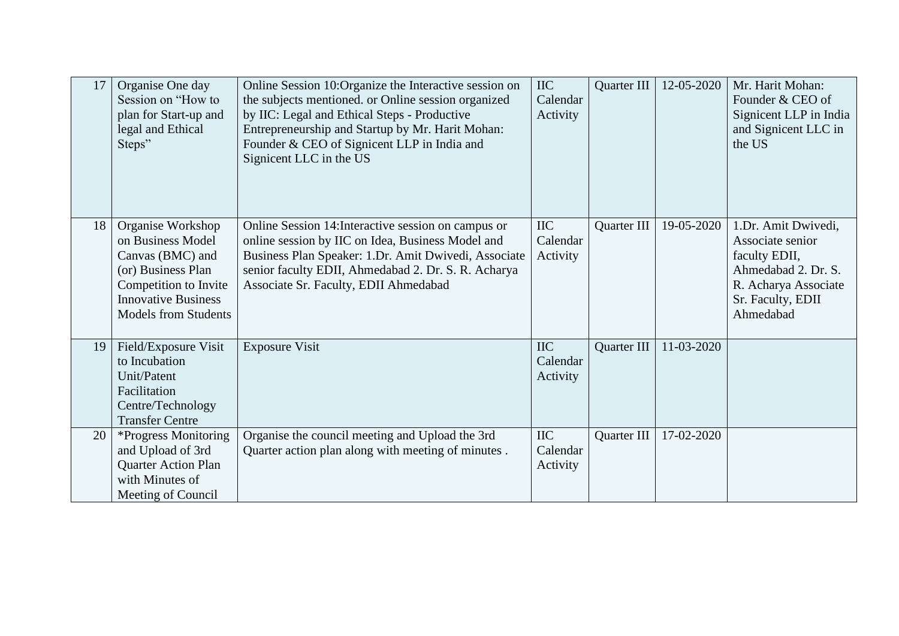| 17 | Organise One day<br>Session on "How to"<br>plan for Start-up and<br>legal and Ethical<br>Steps"                                                                        | Online Session 10:Organize the Interactive session on<br>the subjects mentioned. or Online session organized<br>by IIC: Legal and Ethical Steps - Productive<br>Entrepreneurship and Startup by Mr. Harit Mohan:<br>Founder & CEO of Signicent LLP in India and<br>Signicent LLC in the US | <b>IIC</b><br>Calendar<br>Activity | Quarter III | 12-05-2020 | Mr. Harit Mohan:<br>Founder & CEO of<br>Signicent LLP in India<br>and Signicent LLC in<br>the US                                          |
|----|------------------------------------------------------------------------------------------------------------------------------------------------------------------------|--------------------------------------------------------------------------------------------------------------------------------------------------------------------------------------------------------------------------------------------------------------------------------------------|------------------------------------|-------------|------------|-------------------------------------------------------------------------------------------------------------------------------------------|
| 18 | Organise Workshop<br>on Business Model<br>Canvas (BMC) and<br>(or) Business Plan<br>Competition to Invite<br><b>Innovative Business</b><br><b>Models from Students</b> | Online Session 14: Interactive session on campus or<br>online session by IIC on Idea, Business Model and<br>Business Plan Speaker: 1.Dr. Amit Dwivedi, Associate<br>senior faculty EDII, Ahmedabad 2. Dr. S. R. Acharya<br>Associate Sr. Faculty, EDII Ahmedabad                           | <b>IIC</b><br>Calendar<br>Activity | Quarter III | 19-05-2020 | 1.Dr. Amit Dwivedi,<br>Associate senior<br>faculty EDII,<br>Ahmedabad 2. Dr. S.<br>R. Acharya Associate<br>Sr. Faculty, EDII<br>Ahmedabad |
| 19 | Field/Exposure Visit<br>to Incubation<br>Unit/Patent<br>Facilitation<br>Centre/Technology<br><b>Transfer Centre</b>                                                    | <b>Exposure Visit</b>                                                                                                                                                                                                                                                                      | <b>IIC</b><br>Calendar<br>Activity | Quarter III | 11-03-2020 |                                                                                                                                           |
| 20 | *Progress Monitoring<br>and Upload of 3rd<br><b>Quarter Action Plan</b><br>with Minutes of<br>Meeting of Council                                                       | Organise the council meeting and Upload the 3rd<br>Quarter action plan along with meeting of minutes.                                                                                                                                                                                      | <b>IIC</b><br>Calendar<br>Activity | Quarter III | 17-02-2020 |                                                                                                                                           |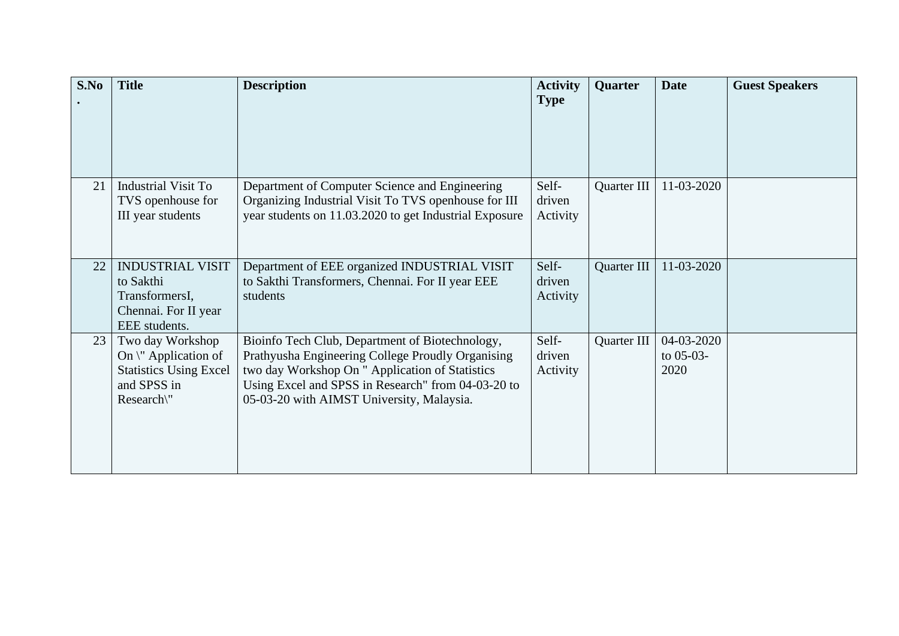| S.No | <b>Title</b>                                                                                                   | <b>Description</b>                                                                                                                                                                                                                                         | <b>Activity</b>             | Quarter     | <b>Date</b>                       | <b>Guest Speakers</b> |
|------|----------------------------------------------------------------------------------------------------------------|------------------------------------------------------------------------------------------------------------------------------------------------------------------------------------------------------------------------------------------------------------|-----------------------------|-------------|-----------------------------------|-----------------------|
|      |                                                                                                                |                                                                                                                                                                                                                                                            | <b>Type</b>                 |             |                                   |                       |
|      |                                                                                                                |                                                                                                                                                                                                                                                            |                             |             |                                   |                       |
| 21   | Industrial Visit To<br>TVS openhouse for<br>III year students                                                  | Department of Computer Science and Engineering<br>Organizing Industrial Visit To TVS openhouse for III<br>year students on 11.03.2020 to get Industrial Exposure                                                                                           | Self-<br>driven<br>Activity | Quarter III | 11-03-2020                        |                       |
| 22   | <b>INDUSTRIAL VISIT</b><br>to Sakthi<br>TransformersI,<br>Chennai. For II year<br>EEE students.                | Department of EEE organized INDUSTRIAL VISIT<br>to Sakthi Transformers, Chennai. For II year EEE<br>students                                                                                                                                               | Self-<br>driven<br>Activity | Quarter III | 11-03-2020                        |                       |
| 23   | Two day Workshop<br>On $\Upsilon$ Application of<br><b>Statistics Using Excel</b><br>and SPSS in<br>Research\" | Bioinfo Tech Club, Department of Biotechnology,<br>Prathyusha Engineering College Proudly Organising<br>two day Workshop On " Application of Statistics<br>Using Excel and SPSS in Research" from 04-03-20 to<br>05-03-20 with AIMST University, Malaysia. | Self-<br>driven<br>Activity | Quarter III | 04-03-2020<br>to $05-03-$<br>2020 |                       |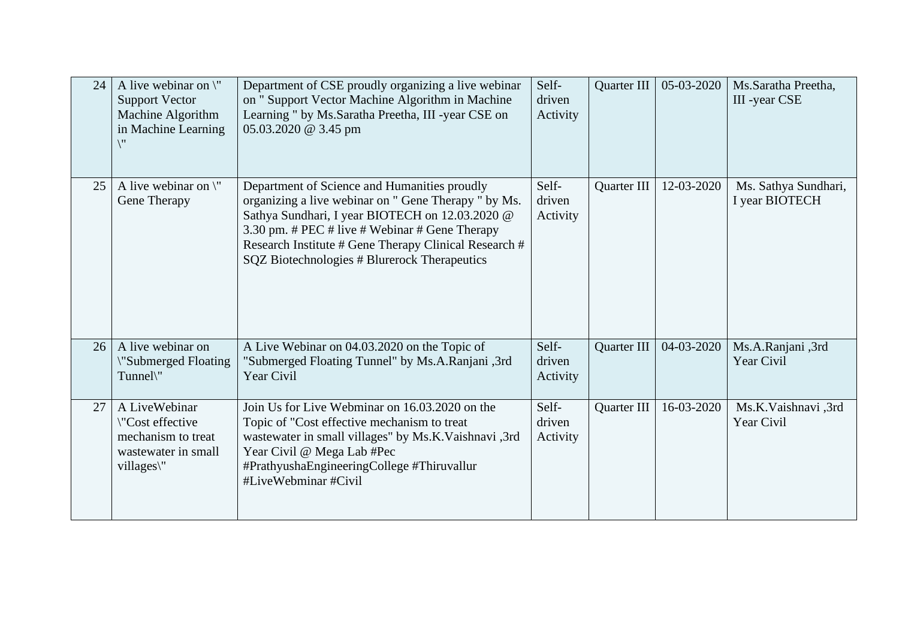| 24 | A live webinar on $\mathcal{N}$<br><b>Support Vector</b><br>Machine Algorithm<br>in Machine Learning | Department of CSE proudly organizing a live webinar<br>on " Support Vector Machine Algorithm in Machine<br>Learning " by Ms.Saratha Preetha, III -year CSE on<br>05.03.2020 @ 3.45 pm                                                                                                                              | Self-<br>driven<br>Activity | Quarter III        | 05-03-2020 | Ms.Saratha Preetha,<br>III -year CSE   |
|----|------------------------------------------------------------------------------------------------------|--------------------------------------------------------------------------------------------------------------------------------------------------------------------------------------------------------------------------------------------------------------------------------------------------------------------|-----------------------------|--------------------|------------|----------------------------------------|
| 25 | A live webinar on $\Upsilon$<br>Gene Therapy                                                         | Department of Science and Humanities proudly<br>organizing a live webinar on " Gene Therapy " by Ms.<br>Sathya Sundhari, I year BIOTECH on 12.03.2020 @<br>3.30 pm. # PEC # live # Webinar # Gene Therapy<br>Research Institute # Gene Therapy Clinical Research #<br>SQZ Biotechnologies # Blurerock Therapeutics | Self-<br>driven<br>Activity | Quarter III        | 12-03-2020 | Ms. Sathya Sundhari,<br>I year BIOTECH |
| 26 | A live webinar on<br>"Submerged Floating<br>Tunnel\"                                                 | A Live Webinar on 04.03.2020 on the Topic of<br>'Submerged Floating Tunnel'' by Ms.A.Ranjani, 3rd<br>Year Civil                                                                                                                                                                                                    | Self-<br>driven<br>Activity | Quarter III        | 04-03-2020 | Ms.A.Ranjani, 3rd<br>Year Civil        |
| 27 | A LiveWebinar<br>\"Cost effective<br>mechanism to treat<br>wastewater in small<br>villages\"         | Join Us for Live Webminar on 16.03.2020 on the<br>Topic of "Cost effective mechanism to treat<br>wastewater in small villages" by Ms.K.Vaishnavi ,3rd<br>Year Civil @ Mega Lab #Pec<br>#PrathyushaEngineeringCollege #Thiruvallur<br>#LiveWebminar #Civil                                                          | Self-<br>driven<br>Activity | <b>Quarter III</b> | 16-03-2020 | Ms.K.Vaishnavi,3rd<br>Year Civil       |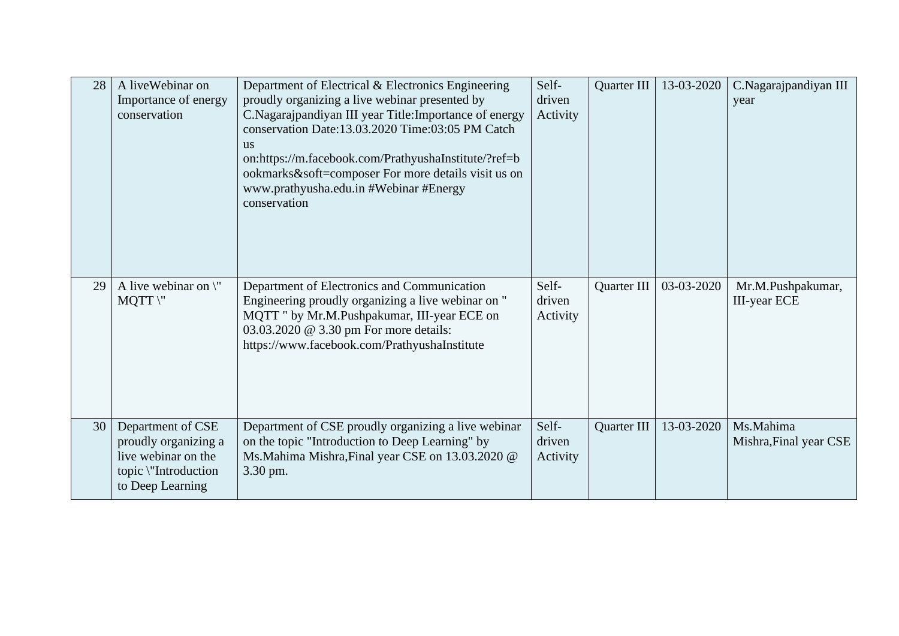| 28 | A liveWebinar on<br>Importance of energy<br>conservation                                                     | Department of Electrical & Electronics Engineering<br>proudly organizing a live webinar presented by<br>C.Nagarajpandiyan III year Title: Importance of energy<br>conservation Date:13.03.2020 Time:03:05 PM Catch<br><b>us</b><br>on:https://m.facebook.com/PrathyushaInstitute/?ref=b<br>ookmarks&soft=composer For more details visit us on<br>www.prathyusha.edu.in #Webinar #Energy<br>conservation | Self-<br>driven<br>Activity | Quarter III | 13-03-2020 | C.Nagarajpandiyan III<br>year            |
|----|--------------------------------------------------------------------------------------------------------------|----------------------------------------------------------------------------------------------------------------------------------------------------------------------------------------------------------------------------------------------------------------------------------------------------------------------------------------------------------------------------------------------------------|-----------------------------|-------------|------------|------------------------------------------|
| 29 | A live webinar on $\mathcal{N}'$<br>$MQTT$ \"                                                                | Department of Electronics and Communication<br>Engineering proudly organizing a live webinar on "<br>MQTT " by Mr.M.Pushpakumar, III-year ECE on<br>03.03.2020 @ 3.30 pm For more details:<br>https://www.facebook.com/PrathyushaInstitute                                                                                                                                                               | Self-<br>driven<br>Activity | Quarter III | 03-03-2020 | Mr.M.Pushpakumar,<br><b>III-year ECE</b> |
| 30 | Department of CSE<br>proudly organizing a<br>live webinar on the<br>topic \"Introduction<br>to Deep Learning | Department of CSE proudly organizing a live webinar<br>on the topic "Introduction to Deep Learning" by<br>Ms.Mahima Mishra, Final year CSE on 13.03.2020 @<br>3.30 pm.                                                                                                                                                                                                                                   | Self-<br>driven<br>Activity | Quarter III | 13-03-2020 | Ms.Mahima<br>Mishra, Final year CSE      |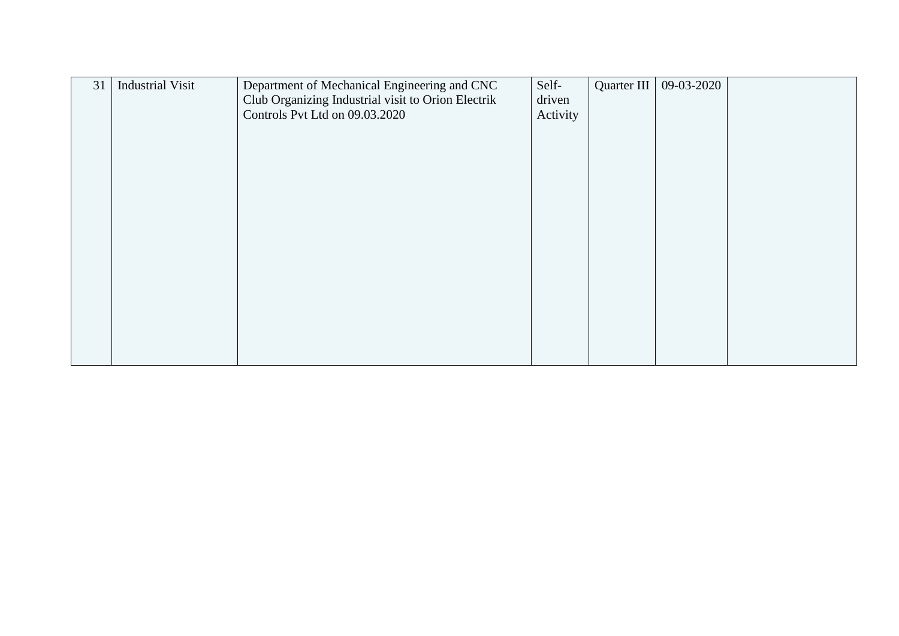| 31 | <b>Industrial Visit</b> | Department of Mechanical Engineering and CNC       | Self-    | Quarter III | 09-03-2020 |  |
|----|-------------------------|----------------------------------------------------|----------|-------------|------------|--|
|    |                         | Club Organizing Industrial visit to Orion Electrik | driven   |             |            |  |
|    |                         | Controls Pvt Ltd on 09.03.2020                     | Activity |             |            |  |
|    |                         |                                                    |          |             |            |  |
|    |                         |                                                    |          |             |            |  |
|    |                         |                                                    |          |             |            |  |
|    |                         |                                                    |          |             |            |  |
|    |                         |                                                    |          |             |            |  |
|    |                         |                                                    |          |             |            |  |
|    |                         |                                                    |          |             |            |  |
|    |                         |                                                    |          |             |            |  |
|    |                         |                                                    |          |             |            |  |
|    |                         |                                                    |          |             |            |  |
|    |                         |                                                    |          |             |            |  |
|    |                         |                                                    |          |             |            |  |
|    |                         |                                                    |          |             |            |  |
|    |                         |                                                    |          |             |            |  |
|    |                         |                                                    |          |             |            |  |
|    |                         |                                                    |          |             |            |  |
|    |                         |                                                    |          |             |            |  |
|    |                         |                                                    |          |             |            |  |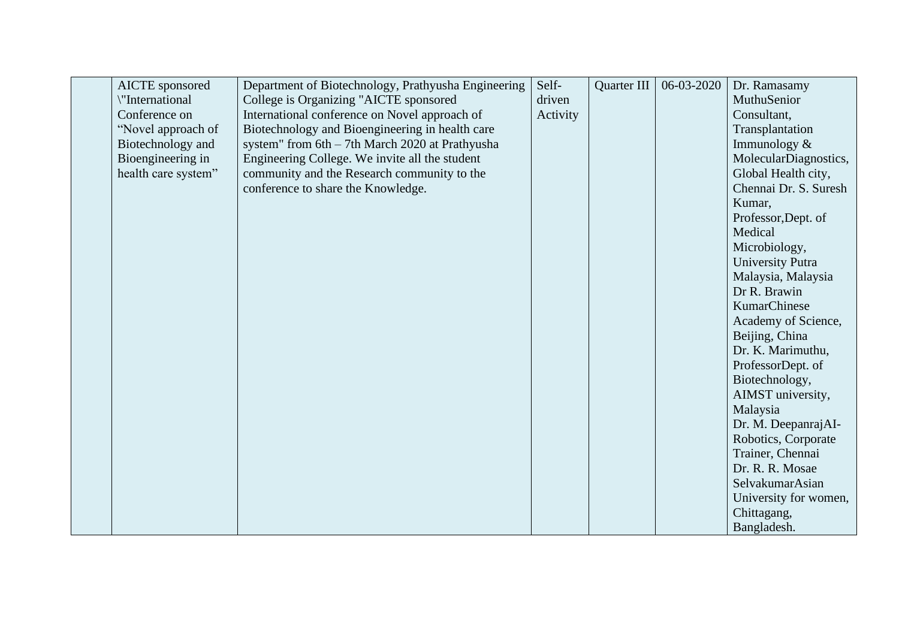| <b>AICTE</b> sponsored | Department of Biotechnology, Prathyusha Engineering | Self-    | Quarter III | 06-03-2020 | Dr. Ramasamy          |
|------------------------|-----------------------------------------------------|----------|-------------|------------|-----------------------|
| "International         | College is Organizing "AICTE sponsored              | driven   |             |            | MuthuSenior           |
| Conference on          | International conference on Novel approach of       | Activity |             |            | Consultant,           |
| "Novel approach of     | Biotechnology and Bioengineering in health care     |          |             |            | Transplantation       |
| Biotechnology and      | system" from 6th - 7th March 2020 at Prathyusha     |          |             |            | Immunology &          |
| Bioengineering in      | Engineering College. We invite all the student      |          |             |            | MolecularDiagnostics, |
| health care system"    | community and the Research community to the         |          |             |            | Global Health city,   |
|                        | conference to share the Knowledge.                  |          |             |            | Chennai Dr. S. Suresh |
|                        |                                                     |          |             |            | Kumar,                |
|                        |                                                     |          |             |            | Professor, Dept. of   |
|                        |                                                     |          |             |            | Medical               |
|                        |                                                     |          |             |            | Microbiology,         |
|                        |                                                     |          |             |            | University Putra      |
|                        |                                                     |          |             |            | Malaysia, Malaysia    |
|                        |                                                     |          |             |            | Dr R. Brawin          |
|                        |                                                     |          |             |            | KumarChinese          |
|                        |                                                     |          |             |            | Academy of Science,   |
|                        |                                                     |          |             |            | Beijing, China        |
|                        |                                                     |          |             |            | Dr. K. Marimuthu,     |
|                        |                                                     |          |             |            | ProfessorDept. of     |
|                        |                                                     |          |             |            | Biotechnology,        |
|                        |                                                     |          |             |            | AIMST university,     |
|                        |                                                     |          |             |            | Malaysia              |
|                        |                                                     |          |             |            | Dr. M. DeepanrajAI-   |
|                        |                                                     |          |             |            | Robotics, Corporate   |
|                        |                                                     |          |             |            | Trainer, Chennai      |
|                        |                                                     |          |             |            | Dr. R. R. Mosae       |
|                        |                                                     |          |             |            | SelvakumarAsian       |
|                        |                                                     |          |             |            | University for women, |
|                        |                                                     |          |             |            | Chittagang,           |
|                        |                                                     |          |             |            | Bangladesh.           |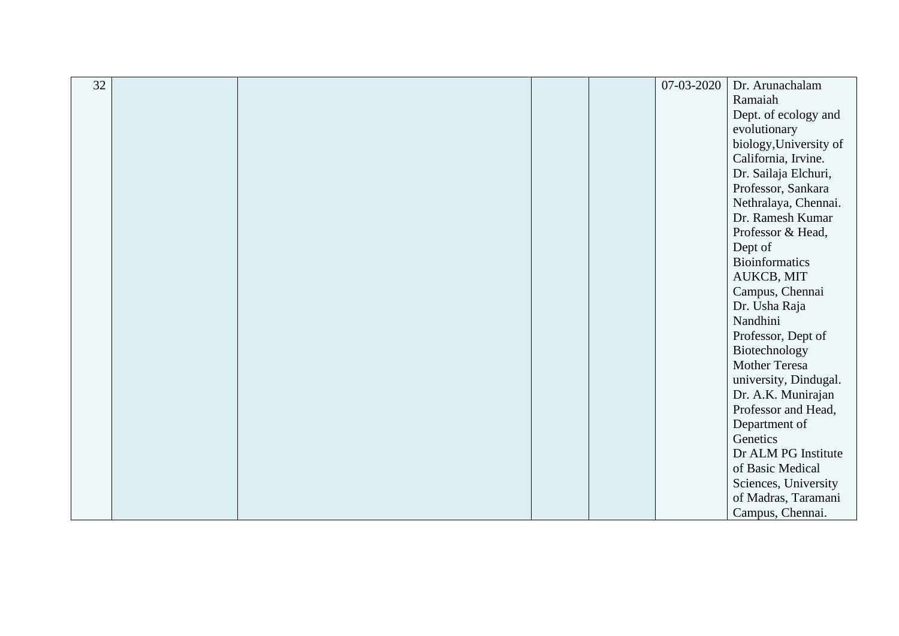| 32 |  |  | 07-03-2020 | Dr. Arunachalam        |
|----|--|--|------------|------------------------|
|    |  |  |            | Ramaiah                |
|    |  |  |            | Dept. of ecology and   |
|    |  |  |            | evolutionary           |
|    |  |  |            | biology, University of |
|    |  |  |            | California, Irvine.    |
|    |  |  |            | Dr. Sailaja Elchuri,   |
|    |  |  |            | Professor, Sankara     |
|    |  |  |            | Nethralaya, Chennai.   |
|    |  |  |            | Dr. Ramesh Kumar       |
|    |  |  |            | Professor & Head,      |
|    |  |  |            | Dept of                |
|    |  |  |            | <b>Bioinformatics</b>  |
|    |  |  |            | AUKCB, MIT             |
|    |  |  |            | Campus, Chennai        |
|    |  |  |            | Dr. Usha Raja          |
|    |  |  |            | Nandhini               |
|    |  |  |            | Professor, Dept of     |
|    |  |  |            | Biotechnology          |
|    |  |  |            | Mother Teresa          |
|    |  |  |            | university, Dindugal.  |
|    |  |  |            | Dr. A.K. Munirajan     |
|    |  |  |            | Professor and Head,    |
|    |  |  |            | Department of          |
|    |  |  |            | Genetics               |
|    |  |  |            | Dr ALM PG Institute    |
|    |  |  |            | of Basic Medical       |
|    |  |  |            | Sciences, University   |
|    |  |  |            | of Madras, Taramani    |
|    |  |  |            | Campus, Chennai.       |